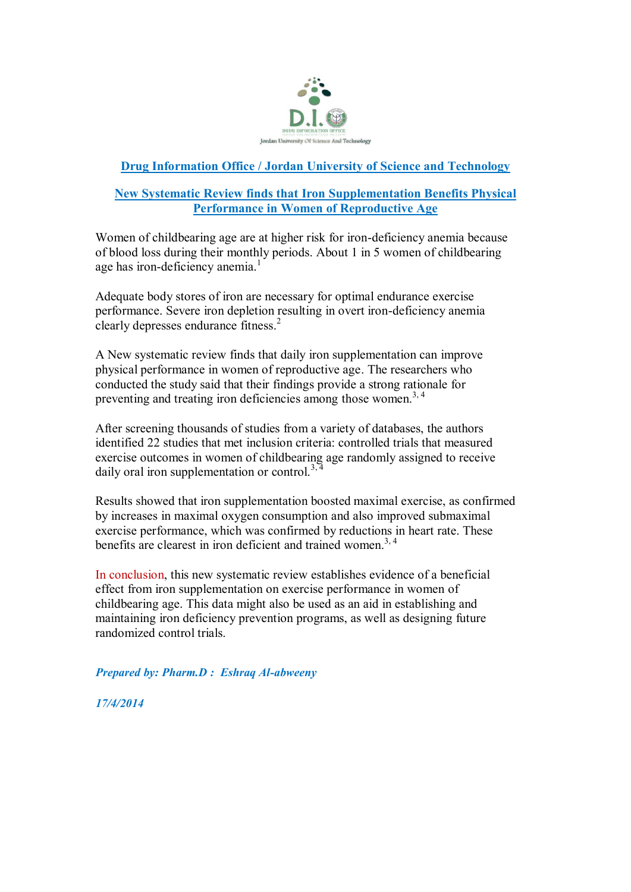

## **Drug Information Office / Jordan University of Science and Technology**

## **New Systematic Review finds that Iron Supplementation Benefits Physical Performance in Women of Reproductive Age**

Women of childbearing age are at higher risk for iron-deficiency anemia because of blood loss during their monthly periods. About 1 in 5 women of childbearing age has iron-deficiency anemia. $<sup>1</sup>$ </sup>

Adequate body stores of iron are necessary for optimal endurance exercise performance. Severe iron depletion resulting in overt iron-deficiency anemia clearly depresses endurance fitness.<sup>2</sup>

A New systematic review finds that daily iron supplementation can improve physical performance in women of reproductive age. The researchers who conducted the study said that their findings provide a strong rationale for preventing and treating iron deficiencies among those women.<sup>3,4</sup>

After screening thousands of studies from a variety of databases, the authors identified 22 studies that met inclusion criteria: controlled trials that measured exercise outcomes in women of childbearing age randomly assigned to receive daily oral iron supplementation or control.<sup>3, 4</sup>

Results showed that iron supplementation boosted maximal exercise, as confirmed by increases in maximal oxygen consumption and also improved submaximal exercise performance, which was confirmed by reductions in heart rate. These benefits are clearest in iron deficient and trained women.<sup>3, 4</sup>

In conclusion, this new systematic review establishes evidence of a beneficial effect from iron supplementation on exercise performance in women of childbearing age. This data might also be used as an aid in establishing and maintaining iron deficiency prevention programs, as well as designing future randomized control trials.

*Prepared by: Pharm.D : Eshraq Al-abweeny*

*17/4/2014*